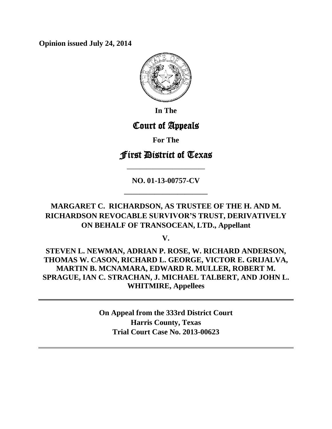**Opinion issued July 24, 2014**



**In The**

# Court of Appeals

**For The**

## First District of Texas

**NO. 01-13-00757-CV**

**———————————**

**————————————**

**MARGARET C. RICHARDSON, AS TRUSTEE OF THE H. AND M. RICHARDSON REVOCABLE SURVIVOR'S TRUST, DERIVATIVELY ON BEHALF OF TRANSOCEAN, LTD., Appellant**

**V.**

**STEVEN L. NEWMAN, ADRIAN P. ROSE, W. RICHARD ANDERSON, THOMAS W. CASON, RICHARD L. GEORGE, VICTOR E. GRIJALVA, MARTIN B. MCNAMARA, EDWARD R. MULLER, ROBERT M. SPRAGUE, IAN C. STRACHAN, J. MICHAEL TALBERT, AND JOHN L. WHITMIRE, Appellees**

> **On Appeal from the 333rd District Court Harris County, Texas Trial Court Case No. 2013-00623**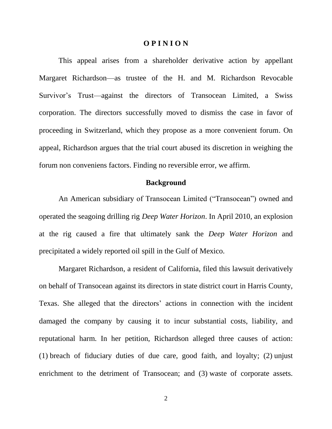### **O P I N I O N**

This appeal arises from a shareholder derivative action by appellant Margaret Richardson—as trustee of the H. and M. Richardson Revocable Survivor's Trust—against the directors of Transocean Limited, a Swiss corporation. The directors successfully moved to dismiss the case in favor of proceeding in Switzerland, which they propose as a more convenient forum. On appeal, Richardson argues that the trial court abused its discretion in weighing the forum non conveniens factors. Finding no reversible error, we affirm.

### **Background**

An American subsidiary of Transocean Limited ("Transocean") owned and operated the seagoing drilling rig *Deep Water Horizon*. In April 2010, an explosion at the rig caused a fire that ultimately sank the *Deep Water Horizon* and precipitated a widely reported oil spill in the Gulf of Mexico.

Margaret Richardson, a resident of California, filed this lawsuit derivatively on behalf of Transocean against its directors in state district court in Harris County, Texas. She alleged that the directors' actions in connection with the incident damaged the company by causing it to incur substantial costs, liability, and reputational harm. In her petition, Richardson alleged three causes of action: (1) breach of fiduciary duties of due care, good faith, and loyalty; (2) unjust enrichment to the detriment of Transocean; and (3) waste of corporate assets.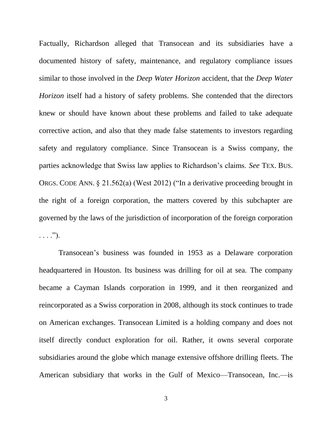Factually, Richardson alleged that Transocean and its subsidiaries have a documented history of safety, maintenance, and regulatory compliance issues similar to those involved in the *Deep Water Horizon* accident, that the *Deep Water Horizon* itself had a history of safety problems. She contended that the directors knew or should have known about these problems and failed to take adequate corrective action, and also that they made false statements to investors regarding safety and regulatory compliance. Since Transocean is a Swiss company, the parties acknowledge that Swiss law applies to Richardson's claims. *See* TEX. BUS. ORGS. CODE ANN. § 21.562(a) (West 2012) ("In a derivative proceeding brought in the right of a foreign corporation, the matters covered by this subchapter are governed by the laws of the jurisdiction of incorporation of the foreign corporation  $\ldots$ .").

Transocean's business was founded in 1953 as a Delaware corporation headquartered in Houston. Its business was drilling for oil at sea. The company became a Cayman Islands corporation in 1999, and it then reorganized and reincorporated as a Swiss corporation in 2008, although its stock continues to trade on American exchanges. Transocean Limited is a holding company and does not itself directly conduct exploration for oil. Rather, it owns several corporate subsidiaries around the globe which manage extensive offshore drilling fleets. The American subsidiary that works in the Gulf of Mexico—Transocean, Inc.—is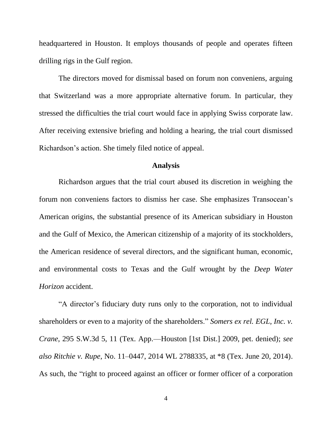headquartered in Houston. It employs thousands of people and operates fifteen drilling rigs in the Gulf region.

The directors moved for dismissal based on forum non conveniens, arguing that Switzerland was a more appropriate alternative forum. In particular, they stressed the difficulties the trial court would face in applying Swiss corporate law. After receiving extensive briefing and holding a hearing, the trial court dismissed Richardson's action. She timely filed notice of appeal.

### **Analysis**

Richardson argues that the trial court abused its discretion in weighing the forum non conveniens factors to dismiss her case. She emphasizes Transocean's American origins, the substantial presence of its American subsidiary in Houston and the Gulf of Mexico, the American citizenship of a majority of its stockholders, the American residence of several directors, and the significant human, economic, and environmental costs to Texas and the Gulf wrought by the *Deep Water Horizon* accident.

"A director's fiduciary duty runs only to the corporation, not to individual shareholders or even to a majority of the shareholders." *Somers ex rel. EGL, Inc. v. Crane*, 295 S.W.3d 5, 11 (Tex. App.—Houston [1st Dist.] 2009, pet. denied); *see also Ritchie v. Rupe*, No. 11–0447, 2014 WL 2788335, at \*8 (Tex. June 20, 2014). As such, the "right to proceed against an officer or former officer of a corporation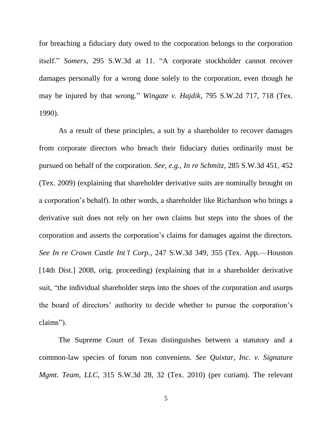for breaching a fiduciary duty owed to the corporation belongs to the corporation itself." *Somers*, 295 S.W.3d at 11. "A corporate stockholder cannot recover damages personally for a wrong done solely to the corporation, even though he may be injured by that wrong." *Wingate v. Hajdik*, 795 S.W.2d 717, 718 (Tex. 1990).

As a result of these principles, a suit by a shareholder to recover damages from corporate directors who breach their fiduciary duties ordinarily must be pursued on behalf of the corporation. *See, e.g.*, *In re Schmitz*, 285 S.W.3d 451, 452 (Tex. 2009) (explaining that shareholder derivative suits are nominally brought on a corporation's behalf). In other words, a shareholder like Richardson who brings a derivative suit does not rely on her own claims but steps into the shoes of the corporation and asserts the corporation's claims for damages against the directors. *See In re Crown Castle Int'l Corp.*, 247 S.W.3d 349, 355 (Tex. App.—Houston [14th Dist.] 2008, orig. proceeding) (explaining that in a shareholder derivative suit, "the individual shareholder steps into the shoes of the corporation and usurps the board of directors' authority to decide whether to pursue the corporation's claims").

The Supreme Court of Texas distinguishes between a statutory and a common-law species of forum non conveniens. *See Quixtar, Inc. v. Signature Mgmt. Team, LLC*, 315 S.W.3d 28, 32 (Tex. 2010) (per curiam). The relevant

5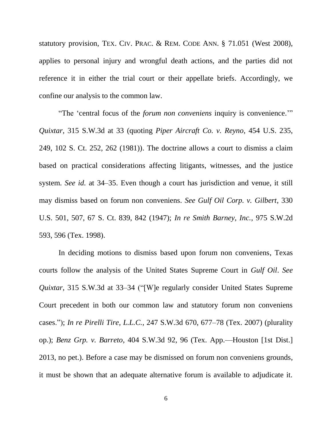statutory provision, TEX. CIV. PRAC. & REM. CODE ANN. § 71.051 (West 2008), applies to personal injury and wrongful death actions, and the parties did not reference it in either the trial court or their appellate briefs. Accordingly, we confine our analysis to the common law.

"The 'central focus of the *forum non conveniens* inquiry is convenience.'" *Quixtar*, 315 S.W.3d at 33 (quoting *Piper Aircraft Co. v. Reyno*, 454 U.S. 235, 249, 102 S. Ct. 252, 262 (1981)). The doctrine allows a court to dismiss a claim based on practical considerations affecting litigants, witnesses, and the justice system. *See id.* at 34–35. Even though a court has jurisdiction and venue, it still may dismiss based on forum non conveniens. *See Gulf Oil Corp. v. Gilbert*, 330 U.S. 501, 507, 67 S. Ct. 839, 842 (1947); *In re Smith Barney, Inc.*, 975 S.W.2d 593, 596 (Tex. 1998).

In deciding motions to dismiss based upon forum non conveniens, Texas courts follow the analysis of the United States Supreme Court in *Gulf Oil*. *See Quixtar*, 315 S.W.3d at 33–34 ("[W]e regularly consider United States Supreme Court precedent in both our common law and statutory forum non conveniens cases."); *In re Pirelli Tire, L.L.C.*, 247 S.W.3d 670, 677–78 (Tex. 2007) (plurality op.); *Benz Grp. v. Barreto*, 404 S.W.3d 92, 96 (Tex. App.—Houston [1st Dist.] 2013, no pet.). Before a case may be dismissed on forum non conveniens grounds, it must be shown that an adequate alternative forum is available to adjudicate it.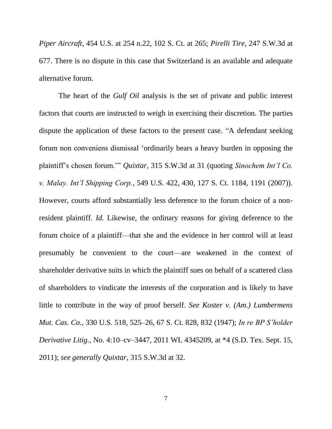*Piper Aircraft*, 454 U.S. at 254 n.22, 102 S. Ct. at 265; *Pirelli Tire*, 247 S.W.3d at 677. There is no dispute in this case that Switzerland is an available and adequate alternative forum.

The heart of the *Gulf Oil* analysis is the set of private and public interest factors that courts are instructed to weigh in exercising their discretion. The parties dispute the application of these factors to the present case. "A defendant seeking forum non conveniens dismissal 'ordinarily bears a heavy burden in opposing the plaintiff's chosen forum.'" *Quixtar*, 315 S.W.3d at 31 (quoting *Sinochem Int'l Co. v. Malay. Int'l Shipping Corp.*, 549 U.S. 422, 430, 127 S. Ct. 1184, 1191 (2007)). However, courts afford substantially less deference to the forum choice of a nonresident plaintiff. *Id.* Likewise, the ordinary reasons for giving deference to the forum choice of a plaintiff—that she and the evidence in her control will at least presumably be convenient to the court—are weakened in the context of shareholder derivative suits in which the plaintiff sues on behalf of a scattered class of shareholders to vindicate the interests of the corporation and is likely to have little to contribute in the way of proof herself. *See Koster v. (Am.) Lumbermens Mut. Cas. Co.*, 330 U.S. 518, 525–26, 67 S. Ct. 828, 832 (1947); *In re BP S'holder Derivative Litig.*, No. 4:10–cv–3447, 2011 WL 4345209, at \*4 (S.D. Tex. Sept. 15, 2011); *see generally Quixtar*, 315 S.W.3d at 32.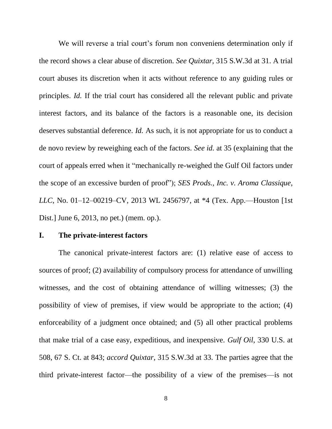We will reverse a trial court's forum non conveniens determination only if the record shows a clear abuse of discretion. *See Quixtar*, 315 S.W.3d at 31. A trial court abuses its discretion when it acts without reference to any guiding rules or principles. *Id.* If the trial court has considered all the relevant public and private interest factors, and its balance of the factors is a reasonable one, its decision deserves substantial deference. *Id.* As such, it is not appropriate for us to conduct a de novo review by reweighing each of the factors. *See id.* at 35 (explaining that the court of appeals erred when it "mechanically re-weighed the Gulf Oil factors under the scope of an excessive burden of proof"); *SES Prods., Inc. v. Aroma Classique, LLC*, No. 01–12–00219–CV, 2013 WL 2456797, at \*4 (Tex. App.—Houston [1st Dist.] June 6, 2013, no pet.) (mem. op.).

### **I. The private-interest factors**

The canonical private-interest factors are: (1) relative ease of access to sources of proof; (2) availability of compulsory process for attendance of unwilling witnesses, and the cost of obtaining attendance of willing witnesses; (3) the possibility of view of premises, if view would be appropriate to the action; (4) enforceability of a judgment once obtained; and (5) all other practical problems that make trial of a case easy, expeditious, and inexpensive. *Gulf Oil*, 330 U.S. at 508, 67 S. Ct. at 843; *accord Quixtar*, 315 S.W.3d at 33. The parties agree that the third private-interest factor—the possibility of a view of the premises—is not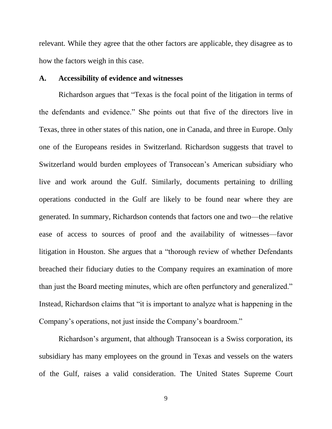relevant. While they agree that the other factors are applicable, they disagree as to how the factors weigh in this case.

### **A. Accessibility of evidence and witnesses**

Richardson argues that "Texas is the focal point of the litigation in terms of the defendants and evidence." She points out that five of the directors live in Texas, three in other states of this nation, one in Canada, and three in Europe. Only one of the Europeans resides in Switzerland. Richardson suggests that travel to Switzerland would burden employees of Transocean's American subsidiary who live and work around the Gulf. Similarly, documents pertaining to drilling operations conducted in the Gulf are likely to be found near where they are generated. In summary, Richardson contends that factors one and two—the relative ease of access to sources of proof and the availability of witnesses—favor litigation in Houston. She argues that a "thorough review of whether Defendants breached their fiduciary duties to the Company requires an examination of more than just the Board meeting minutes, which are often perfunctory and generalized." Instead, Richardson claims that "it is important to analyze what is happening in the Company's operations, not just inside the Company's boardroom."

Richardson's argument, that although Transocean is a Swiss corporation, its subsidiary has many employees on the ground in Texas and vessels on the waters of the Gulf, raises a valid consideration. The United States Supreme Court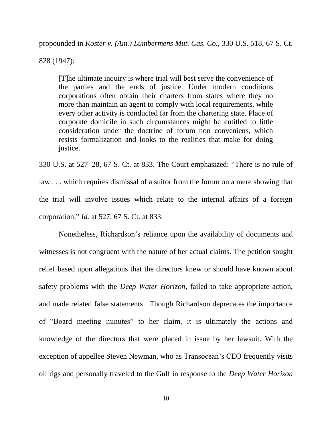propounded in *Koster v. (Am.) Lumbermens Mut. Cas. Co.*, 330 U.S. 518, 67 S. Ct.

828 (1947):

[T]he ultimate inquiry is where trial will best serve the convenience of the parties and the ends of justice. Under modern conditions corporations often obtain their charters from states where they no more than maintain an agent to comply with local requirements, while every other activity is conducted far from the chartering state. Place of corporate domicile in such circumstances might be entitled to little consideration under the doctrine of forum non conveniens, which resists formalization and looks to the realities that make for doing justice.

330 U.S. at 527–28, 67 S. Ct. at 833. The Court emphasized: "There is no rule of law . . . which requires dismissal of a suitor from the forum on a mere showing that the trial will involve issues which relate to the internal affairs of a foreign corporation." *Id.* at 527, 67 S. Ct. at 833.

Nonetheless, Richardson's reliance upon the availability of documents and witnesses is not congruent with the nature of her actual claims. The petition sought relief based upon allegations that the directors knew or should have known about safety problems with the *Deep Water Horizon*, failed to take appropriate action, and made related false statements. Though Richardson deprecates the importance of "Board meeting minutes" to her claim, it is ultimately the actions and knowledge of the directors that were placed in issue by her lawsuit. With the exception of appellee Steven Newman, who as Transocean's CEO frequently visits oil rigs and personally traveled to the Gulf in response to the *Deep Water Horizon*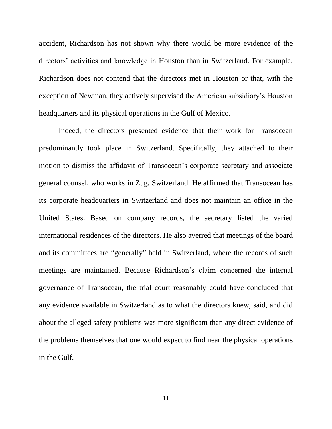accident, Richardson has not shown why there would be more evidence of the directors' activities and knowledge in Houston than in Switzerland. For example, Richardson does not contend that the directors met in Houston or that, with the exception of Newman, they actively supervised the American subsidiary's Houston headquarters and its physical operations in the Gulf of Mexico.

Indeed, the directors presented evidence that their work for Transocean predominantly took place in Switzerland. Specifically, they attached to their motion to dismiss the affidavit of Transocean's corporate secretary and associate general counsel, who works in Zug, Switzerland. He affirmed that Transocean has its corporate headquarters in Switzerland and does not maintain an office in the United States. Based on company records, the secretary listed the varied international residences of the directors. He also averred that meetings of the board and its committees are "generally" held in Switzerland, where the records of such meetings are maintained. Because Richardson's claim concerned the internal governance of Transocean, the trial court reasonably could have concluded that any evidence available in Switzerland as to what the directors knew, said, and did about the alleged safety problems was more significant than any direct evidence of the problems themselves that one would expect to find near the physical operations in the Gulf.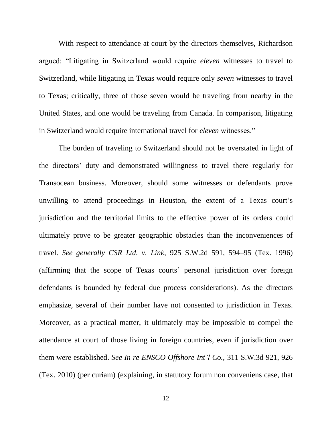With respect to attendance at court by the directors themselves, Richardson argued: "Litigating in Switzerland would require *eleven* witnesses to travel to Switzerland, while litigating in Texas would require only *seven* witnesses to travel to Texas; critically, three of those seven would be traveling from nearby in the United States, and one would be traveling from Canada. In comparison, litigating in Switzerland would require international travel for *eleven* witnesses."

The burden of traveling to Switzerland should not be overstated in light of the directors' duty and demonstrated willingness to travel there regularly for Transocean business. Moreover, should some witnesses or defendants prove unwilling to attend proceedings in Houston, the extent of a Texas court's jurisdiction and the territorial limits to the effective power of its orders could ultimately prove to be greater geographic obstacles than the inconveniences of travel. *See generally CSR Ltd. v. Link*, 925 S.W.2d 591, 594–95 (Tex. 1996) (affirming that the scope of Texas courts' personal jurisdiction over foreign defendants is bounded by federal due process considerations). As the directors emphasize, several of their number have not consented to jurisdiction in Texas. Moreover, as a practical matter, it ultimately may be impossible to compel the attendance at court of those living in foreign countries, even if jurisdiction over them were established. *See In re ENSCO Offshore Int'l Co.*, 311 S.W.3d 921, 926 (Tex. 2010) (per curiam) (explaining, in statutory forum non conveniens case, that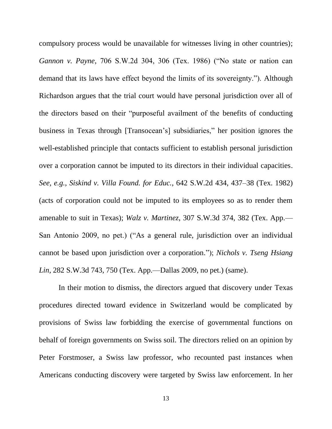compulsory process would be unavailable for witnesses living in other countries); *Gannon v. Payne*, 706 S.W.2d 304, 306 (Tex. 1986) ("No state or nation can demand that its laws have effect beyond the limits of its sovereignty."). Although Richardson argues that the trial court would have personal jurisdiction over all of the directors based on their "purposeful availment of the benefits of conducting business in Texas through [Transocean's] subsidiaries," her position ignores the well-established principle that contacts sufficient to establish personal jurisdiction over a corporation cannot be imputed to its directors in their individual capacities. *See, e.g.*, *Siskind v. Villa Found. for Educ.*, 642 S.W.2d 434, 437–38 (Tex. 1982) (acts of corporation could not be imputed to its employees so as to render them amenable to suit in Texas); *Walz v. Martinez*, 307 S.W.3d 374, 382 (Tex. App.— San Antonio 2009, no pet.) ("As a general rule, jurisdiction over an individual cannot be based upon jurisdiction over a corporation."); *Nichols v. Tseng Hsiang Lin*, 282 S.W.3d 743, 750 (Tex. App.—Dallas 2009, no pet.) (same).

In their motion to dismiss, the directors argued that discovery under Texas procedures directed toward evidence in Switzerland would be complicated by provisions of Swiss law forbidding the exercise of governmental functions on behalf of foreign governments on Swiss soil. The directors relied on an opinion by Peter Forstmoser, a Swiss law professor, who recounted past instances when Americans conducting discovery were targeted by Swiss law enforcement. In her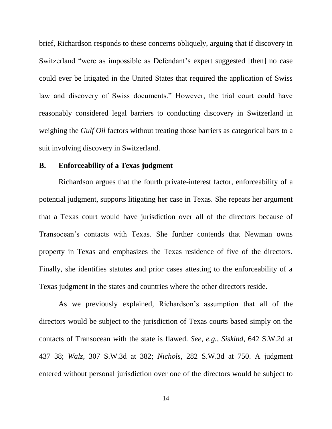brief, Richardson responds to these concerns obliquely, arguing that if discovery in Switzerland "were as impossible as Defendant's expert suggested [then] no case could ever be litigated in the United States that required the application of Swiss law and discovery of Swiss documents." However, the trial court could have reasonably considered legal barriers to conducting discovery in Switzerland in weighing the *Gulf Oil* factors without treating those barriers as categorical bars to a suit involving discovery in Switzerland.

### **B. Enforceability of a Texas judgment**

Richardson argues that the fourth private-interest factor, enforceability of a potential judgment, supports litigating her case in Texas. She repeats her argument that a Texas court would have jurisdiction over all of the directors because of Transocean's contacts with Texas. She further contends that Newman owns property in Texas and emphasizes the Texas residence of five of the directors. Finally, she identifies statutes and prior cases attesting to the enforceability of a Texas judgment in the states and countries where the other directors reside.

As we previously explained, Richardson's assumption that all of the directors would be subject to the jurisdiction of Texas courts based simply on the contacts of Transocean with the state is flawed. *See, e.g.*, *Siskind*, 642 S.W.2d at 437–38; *Walz*, 307 S.W.3d at 382; *Nichols*, 282 S.W.3d at 750. A judgment entered without personal jurisdiction over one of the directors would be subject to

14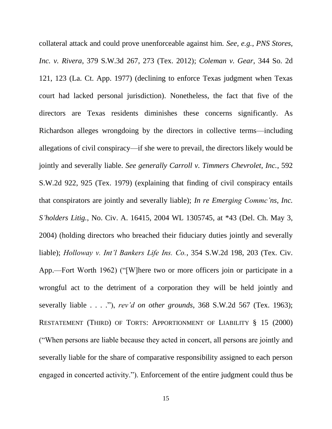collateral attack and could prove unenforceable against him. *See, e.g.*, *PNS Stores, Inc. v. Rivera*, 379 S.W.3d 267, 273 (Tex. 2012); *Coleman v. Gear*, 344 So. 2d 121, 123 (La. Ct. App. 1977) (declining to enforce Texas judgment when Texas court had lacked personal jurisdiction). Nonetheless, the fact that five of the directors are Texas residents diminishes these concerns significantly. As Richardson alleges wrongdoing by the directors in collective terms—including allegations of civil conspiracy—if she were to prevail, the directors likely would be jointly and severally liable. *See generally Carroll v. Timmers Chevrolet, Inc.*, 592 S.W.2d 922, 925 (Tex. 1979) (explaining that finding of civil conspiracy entails that conspirators are jointly and severally liable); *In re Emerging Commc'ns, Inc. S'holders Litig.*, No. Civ. A. 16415, 2004 WL 1305745, at \*43 (Del. Ch. May 3, 2004) (holding directors who breached their fiduciary duties jointly and severally liable); *Holloway v. Int'l Bankers Life Ins. Co.*, 354 S.W.2d 198, 203 (Tex. Civ. App.—Fort Worth 1962) ("[W]here two or more officers join or participate in a wrongful act to the detriment of a corporation they will be held jointly and severally liable . . . ."), *rev'd on other grounds*, 368 S.W.2d 567 (Tex. 1963); RESTATEMENT (THIRD) OF TORTS: APPORTIONMENT OF LIABILITY § 15 (2000) ("When persons are liable because they acted in concert, all persons are jointly and severally liable for the share of comparative responsibility assigned to each person engaged in concerted activity."). Enforcement of the entire judgment could thus be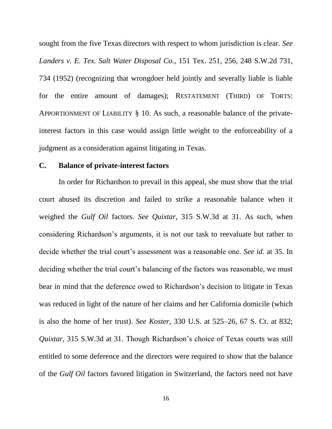sought from the five Texas directors with respect to whom jurisdiction is clear. *See Landers v. E. Tex. Salt Water Disposal Co.*, 151 Tex. 251, 256, 248 S.W.2d 731, 734 (1952) (recognizing that wrongdoer held jointly and severally liable is liable for the entire amount of damages); RESTATEMENT (THIRD) OF TORTS: APPORTIONMENT OF LIABILITY § 10. As such, a reasonable balance of the privateinterest factors in this case would assign little weight to the enforceability of a judgment as a consideration against litigating in Texas.

### **C. Balance of private-interest factors**

In order for Richardson to prevail in this appeal, she must show that the trial court abused its discretion and failed to strike a reasonable balance when it weighed the *Gulf Oil* factors. *See Quixtar*, 315 S.W.3d at 31. As such, when considering Richardson's arguments, it is not our task to reevaluate but rather to decide whether the trial court's assessment was a reasonable one. *See id.* at 35. In deciding whether the trial court's balancing of the factors was reasonable, we must bear in mind that the deference owed to Richardson's decision to litigate in Texas was reduced in light of the nature of her claims and her California domicile (which is also the home of her trust). *See Koster*, 330 U.S. at 525–26, 67 S. Ct. at 832; *Quixtar*, 315 S.W.3d at 31. Though Richardson's choice of Texas courts was still entitled to some deference and the directors were required to show that the balance of the *Gulf Oil* factors favored litigation in Switzerland, the factors need not have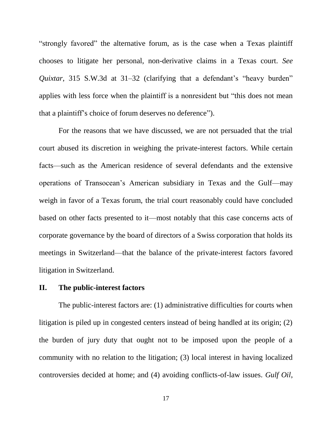"strongly favored" the alternative forum, as is the case when a Texas plaintiff chooses to litigate her personal, non-derivative claims in a Texas court. *See Quixtar*, 315 S.W.3d at 31–32 (clarifying that a defendant's "heavy burden" applies with less force when the plaintiff is a nonresident but "this does not mean that a plaintiff's choice of forum deserves no deference").

For the reasons that we have discussed, we are not persuaded that the trial court abused its discretion in weighing the private-interest factors. While certain facts—such as the American residence of several defendants and the extensive operations of Transocean's American subsidiary in Texas and the Gulf—may weigh in favor of a Texas forum, the trial court reasonably could have concluded based on other facts presented to it—most notably that this case concerns acts of corporate governance by the board of directors of a Swiss corporation that holds its meetings in Switzerland—that the balance of the private-interest factors favored litigation in Switzerland.

### **II. The public-interest factors**

The public-interest factors are: (1) administrative difficulties for courts when litigation is piled up in congested centers instead of being handled at its origin; (2) the burden of jury duty that ought not to be imposed upon the people of a community with no relation to the litigation; (3) local interest in having localized controversies decided at home; and (4) avoiding conflicts-of-law issues. *Gulf Oil*,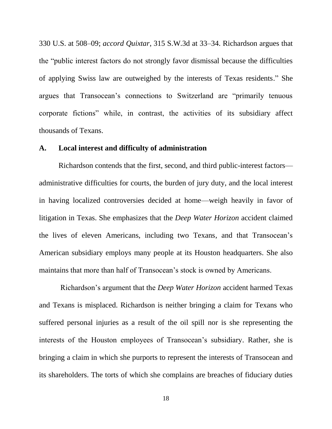330 U.S. at 508–09; *accord Quixtar*, 315 S.W.3d at 33–34. Richardson argues that the "public interest factors do not strongly favor dismissal because the difficulties of applying Swiss law are outweighed by the interests of Texas residents." She argues that Transocean's connections to Switzerland are "primarily tenuous corporate fictions" while, in contrast, the activities of its subsidiary affect thousands of Texans.

### **A. Local interest and difficulty of administration**

Richardson contends that the first, second, and third public-interest factors administrative difficulties for courts, the burden of jury duty, and the local interest in having localized controversies decided at home—weigh heavily in favor of litigation in Texas. She emphasizes that the *Deep Water Horizon* accident claimed the lives of eleven Americans, including two Texans, and that Transocean's American subsidiary employs many people at its Houston headquarters. She also maintains that more than half of Transocean's stock is owned by Americans.

Richardson's argument that the *Deep Water Horizon* accident harmed Texas and Texans is misplaced. Richardson is neither bringing a claim for Texans who suffered personal injuries as a result of the oil spill nor is she representing the interests of the Houston employees of Transocean's subsidiary. Rather, she is bringing a claim in which she purports to represent the interests of Transocean and its shareholders. The torts of which she complains are breaches of fiduciary duties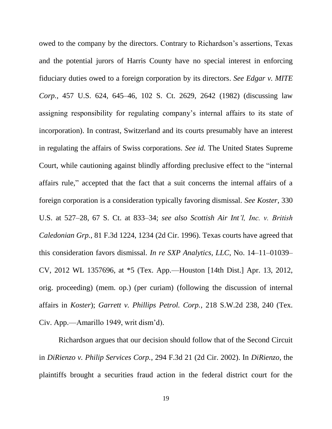owed to the company by the directors. Contrary to Richardson's assertions, Texas and the potential jurors of Harris County have no special interest in enforcing fiduciary duties owed to a foreign corporation by its directors. *See Edgar v. MITE Corp.*, 457 U.S. 624, 645–46, 102 S. Ct. 2629, 2642 (1982) (discussing law assigning responsibility for regulating company's internal affairs to its state of incorporation). In contrast, Switzerland and its courts presumably have an interest in regulating the affairs of Swiss corporations. *See id.* The United States Supreme Court, while cautioning against blindly affording preclusive effect to the "internal affairs rule," accepted that the fact that a suit concerns the internal affairs of a foreign corporation is a consideration typically favoring dismissal. *See Koster*, 330 U.S. at 527–28, 67 S. Ct. at 833–34; *see also Scottish Air Int'l, Inc. v. British Caledonian Grp.*, 81 F.3d 1224, 1234 (2d Cir. 1996). Texas courts have agreed that this consideration favors dismissal. *In re SXP Analytics, LLC*, No. 14–11–01039– CV, 2012 WL 1357696, at \*5 (Tex. App.—Houston [14th Dist.] Apr. 13, 2012, orig. proceeding) (mem. op.) (per curiam) (following the discussion of internal affairs in *Koster*); *Garrett v. Phillips Petrol. Corp.*, 218 S.W.2d 238, 240 (Tex. Civ. App.—Amarillo 1949, writ dism'd).

Richardson argues that our decision should follow that of the Second Circuit in *DiRienzo v. Philip Services Corp.*, 294 F.3d 21 (2d Cir. 2002). In *DiRienzo*, the plaintiffs brought a securities fraud action in the federal district court for the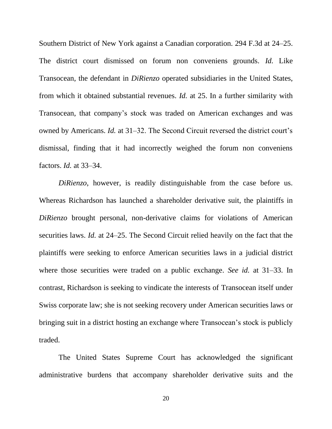Southern District of New York against a Canadian corporation. 294 F.3d at 24–25. The district court dismissed on forum non conveniens grounds. *Id.* Like Transocean, the defendant in *DiRienzo* operated subsidiaries in the United States, from which it obtained substantial revenues. *Id.* at 25. In a further similarity with Transocean, that company's stock was traded on American exchanges and was owned by Americans. *Id.* at 31–32. The Second Circuit reversed the district court's dismissal, finding that it had incorrectly weighed the forum non conveniens factors. *Id.* at 33–34.

*DiRienzo*, however, is readily distinguishable from the case before us. Whereas Richardson has launched a shareholder derivative suit, the plaintiffs in *DiRienzo* brought personal, non-derivative claims for violations of American securities laws. *Id.* at 24–25. The Second Circuit relied heavily on the fact that the plaintiffs were seeking to enforce American securities laws in a judicial district where those securities were traded on a public exchange. *See id.* at 31–33. In contrast, Richardson is seeking to vindicate the interests of Transocean itself under Swiss corporate law; she is not seeking recovery under American securities laws or bringing suit in a district hosting an exchange where Transocean's stock is publicly traded.

The United States Supreme Court has acknowledged the significant administrative burdens that accompany shareholder derivative suits and the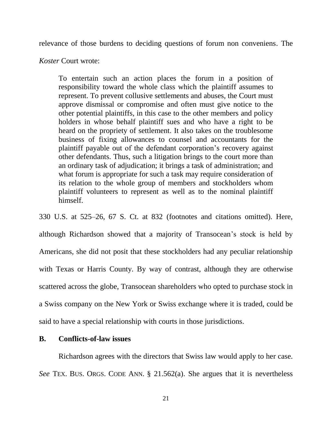relevance of those burdens to deciding questions of forum non conveniens. The

*Koster* Court wrote:

To entertain such an action places the forum in a position of responsibility toward the whole class which the plaintiff assumes to represent. To prevent collusive settlements and abuses, the Court must approve dismissal or compromise and often must give notice to the other potential plaintiffs, in this case to the other members and policy holders in whose behalf plaintiff sues and who have a right to be heard on the propriety of settlement. It also takes on the troublesome business of fixing allowances to counsel and accountants for the plaintiff payable out of the defendant corporation's recovery against other defendants. Thus, such a litigation brings to the court more than an ordinary task of adjudication; it brings a task of administration; and what forum is appropriate for such a task may require consideration of its relation to the whole group of members and stockholders whom plaintiff volunteers to represent as well as to the nominal plaintiff himself.

330 U.S. at 525–26, 67 S. Ct. at 832 (footnotes and citations omitted). Here, although Richardson showed that a majority of Transocean's stock is held by Americans, she did not posit that these stockholders had any peculiar relationship with Texas or Harris County. By way of contrast, although they are otherwise scattered across the globe, Transocean shareholders who opted to purchase stock in a Swiss company on the New York or Swiss exchange where it is traded, could be said to have a special relationship with courts in those jurisdictions.

### **B. Conflicts-of-law issues**

Richardson agrees with the directors that Swiss law would apply to her case. *See* TEX. BUS. ORGS. CODE ANN. § 21.562(a). She argues that it is nevertheless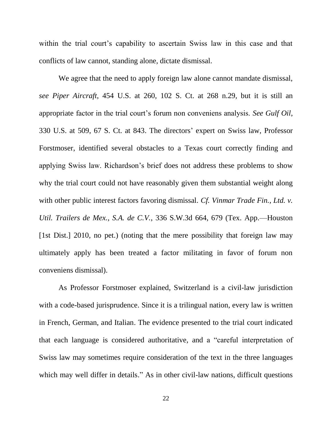within the trial court's capability to ascertain Swiss law in this case and that conflicts of law cannot, standing alone, dictate dismissal.

We agree that the need to apply foreign law alone cannot mandate dismissal, *see Piper Aircraft*, 454 U.S. at 260, 102 S. Ct. at 268 n.29, but it is still an appropriate factor in the trial court's forum non conveniens analysis. *See Gulf Oil*, 330 U.S. at 509, 67 S. Ct. at 843. The directors' expert on Swiss law, Professor Forstmoser, identified several obstacles to a Texas court correctly finding and applying Swiss law. Richardson's brief does not address these problems to show why the trial court could not have reasonably given them substantial weight along with other public interest factors favoring dismissal. *Cf. Vinmar Trade Fin., Ltd. v. Util. Trailers de Mex., S.A. de C.V.*, 336 S.W.3d 664, 679 (Tex. App.—Houston [1st Dist.] 2010, no pet.) (noting that the mere possibility that foreign law may ultimately apply has been treated a factor militating in favor of forum non conveniens dismissal).

As Professor Forstmoser explained, Switzerland is a civil-law jurisdiction with a code-based jurisprudence. Since it is a trilingual nation, every law is written in French, German, and Italian. The evidence presented to the trial court indicated that each language is considered authoritative, and a "careful interpretation of Swiss law may sometimes require consideration of the text in the three languages which may well differ in details." As in other civil-law nations, difficult questions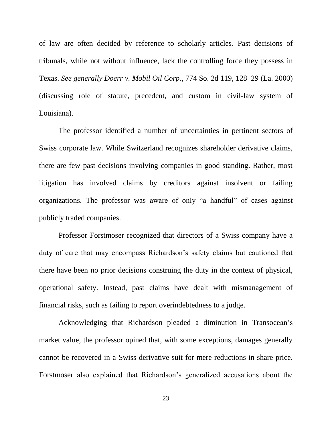of law are often decided by reference to scholarly articles. Past decisions of tribunals, while not without influence, lack the controlling force they possess in Texas. *See generally Doerr v. Mobil Oil Corp.*, 774 So. 2d 119, 128–29 (La. 2000) (discussing role of statute, precedent, and custom in civil-law system of Louisiana).

The professor identified a number of uncertainties in pertinent sectors of Swiss corporate law. While Switzerland recognizes shareholder derivative claims, there are few past decisions involving companies in good standing. Rather, most litigation has involved claims by creditors against insolvent or failing organizations. The professor was aware of only "a handful" of cases against publicly traded companies.

Professor Forstmoser recognized that directors of a Swiss company have a duty of care that may encompass Richardson's safety claims but cautioned that there have been no prior decisions construing the duty in the context of physical, operational safety. Instead, past claims have dealt with mismanagement of financial risks, such as failing to report overindebtedness to a judge.

Acknowledging that Richardson pleaded a diminution in Transocean's market value, the professor opined that, with some exceptions, damages generally cannot be recovered in a Swiss derivative suit for mere reductions in share price. Forstmoser also explained that Richardson's generalized accusations about the

23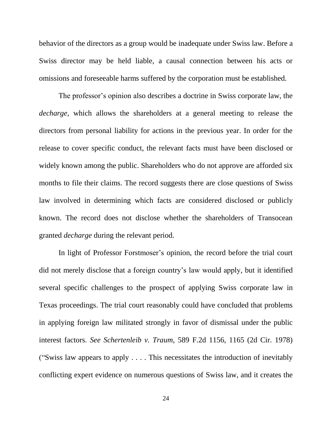behavior of the directors as a group would be inadequate under Swiss law. Before a Swiss director may be held liable, a causal connection between his acts or omissions and foreseeable harms suffered by the corporation must be established.

The professor's opinion also describes a doctrine in Swiss corporate law, the *decharge*, which allows the shareholders at a general meeting to release the directors from personal liability for actions in the previous year. In order for the release to cover specific conduct, the relevant facts must have been disclosed or widely known among the public. Shareholders who do not approve are afforded six months to file their claims. The record suggests there are close questions of Swiss law involved in determining which facts are considered disclosed or publicly known. The record does not disclose whether the shareholders of Transocean granted *decharge* during the relevant period.

In light of Professor Forstmoser's opinion, the record before the trial court did not merely disclose that a foreign country's law would apply, but it identified several specific challenges to the prospect of applying Swiss corporate law in Texas proceedings. The trial court reasonably could have concluded that problems in applying foreign law militated strongly in favor of dismissal under the public interest factors. *See Schertenleib v. Traum*, 589 F.2d 1156, 1165 (2d Cir. 1978) ("Swiss law appears to apply . . . . This necessitates the introduction of inevitably conflicting expert evidence on numerous questions of Swiss law, and it creates the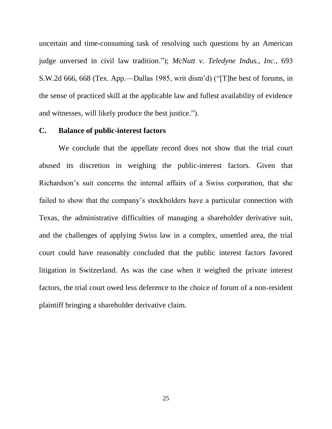uncertain and time-consuming task of resolving such questions by an American judge unversed in civil law tradition."); *McNutt v. Teledyne Indus., Inc.*, 693 S.W.2d 666, 668 (Tex. App.—Dallas 1985, writ dism'd) ("[T]he best of forums, in the sense of practiced skill at the applicable law and fullest availability of evidence and witnesses, will likely produce the best justice.").

#### **C. Balance of public-interest factors**

We conclude that the appellate record does not show that the trial court abused its discretion in weighing the public-interest factors. Given that Richardson's suit concerns the internal affairs of a Swiss corporation, that she failed to show that the company's stockholders have a particular connection with Texas, the administrative difficulties of managing a shareholder derivative suit, and the challenges of applying Swiss law in a complex, unsettled area, the trial court could have reasonably concluded that the public interest factors favored litigation in Switzerland. As was the case when it weighed the private interest factors, the trial court owed less deference to the choice of forum of a non-resident plaintiff bringing a shareholder derivative claim.